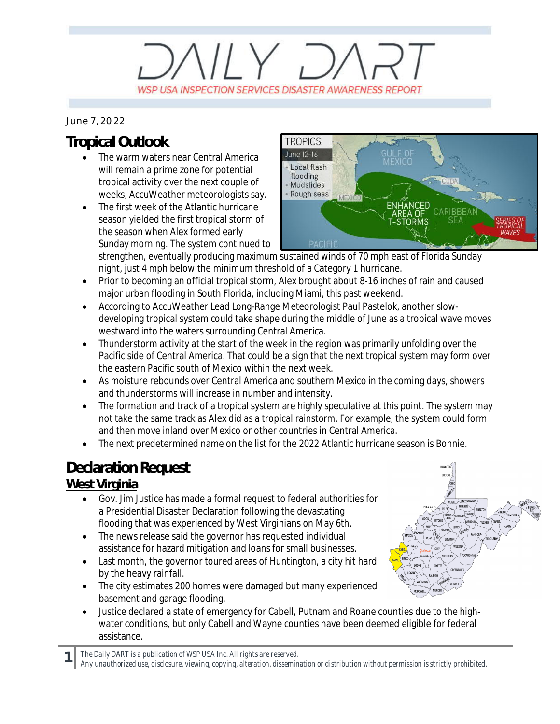# $11 \times 7$ WSP USA INSPECTION SERVICES DISASTER AWARENESS REPORT

#### *June 7, 2022*

## **Tropical Outlook**

- The warm waters near Central America will remain a prime zone for potential tropical activity over the next couple of weeks, AccuWeather meteorologists say.
- The first week of the Atlantic hurricane season yielded the first tropical storm of the season when Alex formed early Sunday morning. The system continued to



strengthen, eventually producing maximum sustained winds of 70 mph east of Florida Sunday night, just 4 mph below the minimum threshold of a Category 1 hurricane.

- · Prior to becoming an official tropical storm, Alex brought about 8-16 inches of rain and caused major urban flooding in South Florida, including Miami, this past weekend.
- · According to AccuWeather Lead Long-Range Meteorologist Paul Pastelok, another slowdeveloping tropical system could take shape during the middle of June as a tropical wave moves westward into the waters surrounding Central America.
- · Thunderstorm activity at the start of the week in the region was primarily unfolding over the Pacific side of Central America. That could be a sign that the next tropical system may form over the eastern Pacific south of Mexico within the next week.
- · As moisture rebounds over Central America and southern Mexico in the coming days, showers and thunderstorms will increase in number and intensity.
- The formation and track of a tropical system are highly speculative at this point. The system may not take the same track as Alex did as a tropical rainstorm. For example, the system could form and then move inland over Mexico or other countries in Central America.
- · The next predetermined name on the list for the 2022 Atlantic hurricane season is Bonnie.

## **Declaration Request**

#### **West Virginia**

- · Gov. Jim Justice has made a formal request to federal authorities for a Presidential Disaster Declaration following the devastating flooding that was experienced by West Virginians on May 6th.
- The news release said the governor has requested individual assistance for hazard mitigation and loans for small businesses.
- Last month, the governor toured areas of Huntington, a city hit hard by the heavy rainfall.
- The city estimates 200 homes were damaged but many experienced basement and garage flooding.
- · Justice declared a state of emergency for Cabell, Putnam and Roane counties due to the highwater conditions, but only Cabell and Wayne counties have been deemed eligible for federal assistance.

**1** *The Daily DART is a publication of WSP USA Inc. All rights are reserved.*

*Any unauthorized use, disclosure, viewing, copying, alteration, dissemination or distribution without permission is strictly prohibited.*